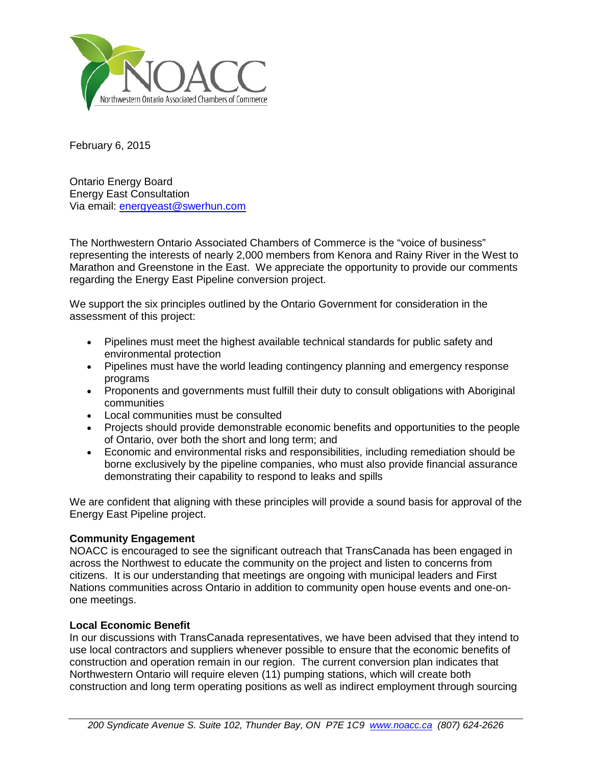

February 6, 2015

Ontario Energy Board Energy East Consultation Via email: [energyeast@swerhun.com](mailto:energyeast@swerhun.com)

The Northwestern Ontario Associated Chambers of Commerce is the "voice of business" representing the interests of nearly 2,000 members from Kenora and Rainy River in the West to Marathon and Greenstone in the East. We appreciate the opportunity to provide our comments regarding the Energy East Pipeline conversion project.

We support the six principles outlined by the Ontario Government for consideration in the assessment of this project:

- Pipelines must meet the highest available technical standards for public safety and environmental protection
- Pipelines must have the world leading contingency planning and emergency response programs
- Proponents and governments must fulfill their duty to consult obligations with Aboriginal communities
- Local communities must be consulted
- Projects should provide demonstrable economic benefits and opportunities to the people of Ontario, over both the short and long term; and
- Economic and environmental risks and responsibilities, including remediation should be borne exclusively by the pipeline companies, who must also provide financial assurance demonstrating their capability to respond to leaks and spills

We are confident that aligning with these principles will provide a sound basis for approval of the Energy East Pipeline project.

## **Community Engagement**

NOACC is encouraged to see the significant outreach that TransCanada has been engaged in across the Northwest to educate the community on the project and listen to concerns from citizens. It is our understanding that meetings are ongoing with municipal leaders and First Nations communities across Ontario in addition to community open house events and one-onone meetings.

## **Local Economic Benefit**

In our discussions with TransCanada representatives, we have been advised that they intend to use local contractors and suppliers whenever possible to ensure that the economic benefits of construction and operation remain in our region. The current conversion plan indicates that Northwestern Ontario will require eleven (11) pumping stations, which will create both construction and long term operating positions as well as indirect employment through sourcing